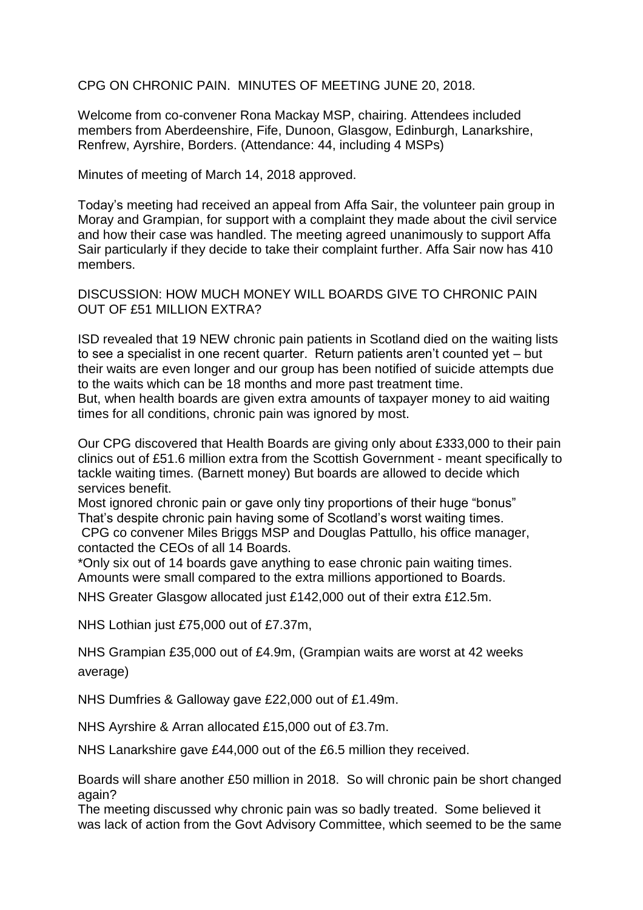CPG ON CHRONIC PAIN. MINUTES OF MEETING JUNE 20, 2018.

Welcome from co-convener Rona Mackay MSP, chairing. Attendees included members from Aberdeenshire, Fife, Dunoon, Glasgow, Edinburgh, Lanarkshire, Renfrew, Ayrshire, Borders. (Attendance: 44, including 4 MSPs)

Minutes of meeting of March 14, 2018 approved.

Today's meeting had received an appeal from Affa Sair, the volunteer pain group in Moray and Grampian, for support with a complaint they made about the civil service and how their case was handled. The meeting agreed unanimously to support Affa Sair particularly if they decide to take their complaint further. Affa Sair now has 410 members.

DISCUSSION: HOW MUCH MONEY WILL BOARDS GIVE TO CHRONIC PAIN OUT OF £51 MILLION EXTRA?

ISD revealed that 19 NEW chronic pain patients in Scotland died on the waiting lists to see a specialist in one recent quarter. Return patients aren't counted yet – but their waits are even longer and our group has been notified of suicide attempts due to the waits which can be 18 months and more past treatment time.

But, when health boards are given extra amounts of taxpayer money to aid waiting times for all conditions, chronic pain was ignored by most.

Our CPG discovered that Health Boards are giving only about £333,000 to their pain clinics out of £51.6 million extra from the Scottish Government - meant specifically to tackle waiting times. (Barnett money) But boards are allowed to decide which services benefit.

Most ignored chronic pain or gave only tiny proportions of their huge "bonus" That's despite chronic pain having some of Scotland's worst waiting times.

CPG co convener Miles Briggs MSP and Douglas Pattullo, his office manager, contacted the CEOs of all 14 Boards.

\*Only six out of 14 boards gave anything to ease chronic pain waiting times. Amounts were small compared to the extra millions apportioned to Boards.

NHS Greater Glasgow allocated just £142,000 out of their extra £12.5m.

NHS Lothian just £75,000 out of £7.37m,

NHS Grampian £35,000 out of £4.9m, (Grampian waits are worst at 42 weeks average)

NHS Dumfries & Galloway gave £22,000 out of £1.49m.

NHS Ayrshire & Arran allocated £15,000 out of £3.7m.

NHS Lanarkshire gave £44,000 out of the £6.5 million they received.

Boards will share another £50 million in 2018. So will chronic pain be short changed again?

The meeting discussed why chronic pain was so badly treated. Some believed it was lack of action from the Govt Advisory Committee, which seemed to be the same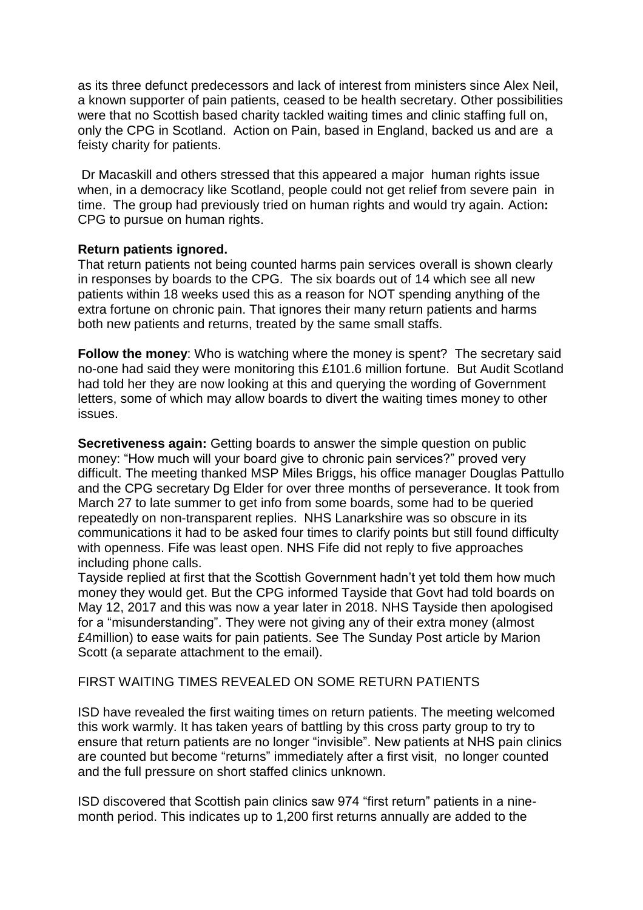as its three defunct predecessors and lack of interest from ministers since Alex Neil, a known supporter of pain patients, ceased to be health secretary. Other possibilities were that no Scottish based charity tackled waiting times and clinic staffing full on, only the CPG in Scotland. Action on Pain, based in England, backed us and are a feisty charity for patients.

Dr Macaskill and others stressed that this appeared a major human rights issue when, in a democracy like Scotland, people could not get relief from severe pain in time. The group had previously tried on human rights and would try again. Action**:**  CPG to pursue on human rights.

# **Return patients ignored.**

That return patients not being counted harms pain services overall is shown clearly in responses by boards to the CPG. The six boards out of 14 which see all new patients within 18 weeks used this as a reason for NOT spending anything of the extra fortune on chronic pain. That ignores their many return patients and harms both new patients and returns, treated by the same small staffs.

**Follow the money:** Who is watching where the money is spent? The secretary said no-one had said they were monitoring this £101.6 million fortune. But Audit Scotland had told her they are now looking at this and querying the wording of Government letters, some of which may allow boards to divert the waiting times money to other issues.

**Secretiveness again:** Getting boards to answer the simple question on public money: "How much will your board give to chronic pain services?" proved very difficult. The meeting thanked MSP Miles Briggs, his office manager Douglas Pattullo and the CPG secretary Dg Elder for over three months of perseverance. It took from March 27 to late summer to get info from some boards, some had to be queried repeatedly on non-transparent replies. NHS Lanarkshire was so obscure in its communications it had to be asked four times to clarify points but still found difficulty with openness. Fife was least open. NHS Fife did not reply to five approaches including phone calls.

Tayside replied at first that the Scottish Government hadn't yet told them how much money they would get. But the CPG informed Tayside that Govt had told boards on May 12, 2017 and this was now a year later in 2018. NHS Tayside then apologised for a "misunderstanding". They were not giving any of their extra money (almost £4million) to ease waits for pain patients. See The Sunday Post article by Marion Scott (a separate attachment to the email).

# FIRST WAITING TIMES REVEALED ON SOME RETURN PATIENTS

ISD have revealed the first waiting times on return patients. The meeting welcomed this work warmly. It has taken years of battling by this cross party group to try to ensure that return patients are no longer "invisible". New patients at NHS pain clinics are counted but become "returns" immediately after a first visit, no longer counted and the full pressure on short staffed clinics unknown.

ISD discovered that Scottish pain clinics saw 974 "first return" patients in a ninemonth period. This indicates up to 1,200 first returns annually are added to the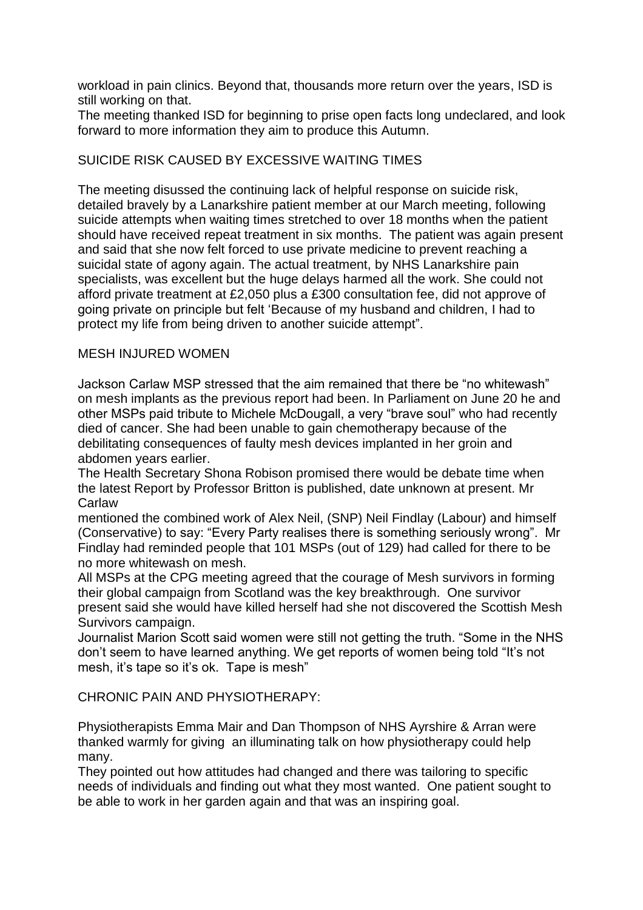workload in pain clinics. Beyond that, thousands more return over the years, ISD is still working on that.

The meeting thanked ISD for beginning to prise open facts long undeclared, and look forward to more information they aim to produce this Autumn.

# SUICIDE RISK CAUSED BY EXCESSIVE WAITING TIMES

The meeting disussed the continuing lack of helpful response on suicide risk, detailed bravely by a Lanarkshire patient member at our March meeting, following suicide attempts when waiting times stretched to over 18 months when the patient should have received repeat treatment in six months. The patient was again present and said that she now felt forced to use private medicine to prevent reaching a suicidal state of agony again. The actual treatment, by NHS Lanarkshire pain specialists, was excellent but the huge delays harmed all the work. She could not afford private treatment at £2,050 plus a £300 consultation fee, did not approve of going private on principle but felt 'Because of my husband and children, I had to protect my life from being driven to another suicide attempt".

# MESH INJURED WOMEN

Jackson Carlaw MSP stressed that the aim remained that there be "no whitewash" on mesh implants as the previous report had been. In Parliament on June 20 he and other MSPs paid tribute to Michele McDougall, a very "brave soul" who had recently died of cancer. She had been unable to gain chemotherapy because of the debilitating consequences of faulty mesh devices implanted in her groin and abdomen years earlier.

The Health Secretary Shona Robison promised there would be debate time when the latest Report by Professor Britton is published, date unknown at present. Mr Carlaw

mentioned the combined work of Alex Neil, (SNP) Neil Findlay (Labour) and himself (Conservative) to say: "Every Party realises there is something seriously wrong". Mr Findlay had reminded people that 101 MSPs (out of 129) had called for there to be no more whitewash on mesh.

All MSPs at the CPG meeting agreed that the courage of Mesh survivors in forming their global campaign from Scotland was the key breakthrough. One survivor present said she would have killed herself had she not discovered the Scottish Mesh Survivors campaign.

Journalist Marion Scott said women were still not getting the truth. "Some in the NHS don't seem to have learned anything. We get reports of women being told "It's not mesh, it's tape so it's ok. Tape is mesh"

CHRONIC PAIN AND PHYSIOTHERAPY:

Physiotherapists Emma Mair and Dan Thompson of NHS Ayrshire & Arran were thanked warmly for giving an illuminating talk on how physiotherapy could help many.

They pointed out how attitudes had changed and there was tailoring to specific needs of individuals and finding out what they most wanted. One patient sought to be able to work in her garden again and that was an inspiring goal.